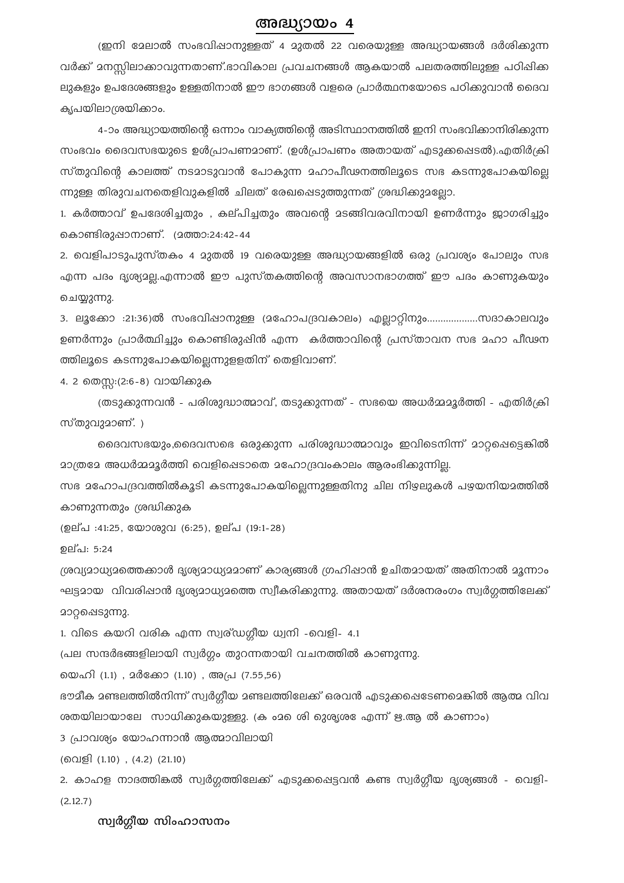## അദ്ധ്യായം 4

(ഇനി മേലാൽ സംഭവിഷാനുള്ളത് 4 മുതൽ 22 വരെയുള്ള അദ്ധ്യായങ്ങൾ ദർശിക്കുന്ന വർക്ക് മനസ്സിലാക്കാവുന്നതാണ്.ഭാവികാല പ്രവചനങ്ങൾ ആകയാൽ പലതരത്തിലുള്ള പഠിഷിക്ക ലുകളും ഉപദേശങ്ങളും ഉള്ളതിനാൽ ഈ ഭാഗങ്ങൾ വളരെ പ്രാർത്ഥനയോടെ പഠിക്കുവാൻ ദൈവ കൃപയിലാശ്രയിക്കാം.

4-ാം അദ്ധ്യായത്തിന്റെ ഒന്നാം വാക്യത്തിന്റെ അടിസ്ഥാനത്തിൽ ഇനി സംഭവിക്കാനിരിക്കുന്ന സംഭവം ദൈവസഭയുടെ ഉൾപ്രാപണമാണ്. (ഉൾപ്രാപണം അതായത് എടുക്കപ്പെടൽ).എതിർക്രി സ്തുവിന്റെ കാലത്ത് നടമാടുവാൻ പോകുന്ന മഹാപീഢനത്തിലൂടെ സഭ കടന്നുപോകയില്ലെ ന്നുള്ള തിരുവചനതെളിവുകളിൽ ചിലത് രേഖപ്പെടുത്തുന്നത് ശ്രദ്ധിക്കുമല്ലോ.

1. കർത്താവ് ഉപദേശിച്ചതും , കല്പിച്ചതും അവന്റെ മടങ്ങിവരവിനായി ഉണർന്നും ജാഗരിച്ചും കൊണ്ടിരുപ്പാനാണ്. (മത്താ:24:42-44

2. വെളിപാടുപുസ്തകം 4 മുതൽ 19 വരെയുള്ള അദ്ധ്യായങ്ങളിൽ ഒരു പ്രവശ്യം പോലും സഭ എന്ന പദം ദൃശ്യാല്ല.എന്നാൽ ഈ പുസ്തകത്തിന്റെ അവസാനഭാഗത്ത് ഈ പദം കാണുകയും ചെയ്യുന്നു.

3. ലൂക്കോ :21:36)ൽ സംഭവിഷാനുള്ള (മഹോപദ്രവകാലം) എല്ലാറ്റിനും...................സദാകാലവും ഉണർന്നും പ്രാർത്ഥിച്ചും കൊണ്ടിരുഷിൻ എന്ന കർത്താവിന്റെ പ്രസ്താവന സഭ മഹാ പീഢന ത്തിലൂടെ കടന്നുപോകയില്ലെന്നുളളതിന് തെളിവാണ്.

4. 2 തെസ്സ:(2:6-8) വായിക്കുക

(തടുക്കുന്നവൻ - പരിശുദ്ധാത്മാവ്, തടുക്കുന്നത് - സഭയെ അധർമ്മമൂർത്തി - എതിർക്രി സ്തുവുമാണ്. )

ദൈവസഭയും,ദൈവസഭെ ഒരുക്കുന്ന പരിശുദ്ധാത്മാവും ഇവിടെനിന്ന് മാറ്റഷെട്ടെങ്കിൽ മാത്രമേ അധർമ്മമൂർത്തി വെളിപ്പെടാതെ മഹോദ്രവംകാലം ആരംഭിക്കുന്നില്ല.

സഭ മഹോപദ്രവത്തിൽകൂടി കടന്നുപോകയില്ലെന്നുള്ളതിനു ചില നിഴലുകൾ പഴയനിയമത്തിൽ കാണുന്നതും ശ്രദ്ധിക്കുക

(ഉല്പ :41:25, യോശുവ (6:25), ഉല്പ (19:1-28)

ഉല്പ: 5:24

ശ്രവ്യമാധ്യമത്തെക്കാൾ ദൃശ്യമാധ്യമമാണ് കാര്യങ്ങൾ ഗ്രഹിഷാൻ ഉചിതമായത് അതിനാൽ മൂന്നാം ഘട്ടമായ വിവരിഷാൻ ദൃശ്യമാധ്യമത്തെ സ്വീകരിക്കുന്നു. അതായത് ദർശനരംഗം സ്വർഗത്തിലേക്ക് മാറ്റപ്പെടുന്നു.

1. വിടെ കയറി വരിക എന്ന സ്വര്ഡഗ്ഗീയ ധ്വനി -വെളി- 4.1

(പല സന്ദർഭങ്ങളിലായി സ്വർഗ്ഗം തുറന്നതായി വചനത്തിൽ കാണുന്നു.

യെഹി (1.1) , മർക്കോ (1.10) , അപ്ര (7.55,56)

ഭൗമീക മണ്ടലത്തിൽനിന്ന് സ്വർഗീയ മണ്ടലത്തിലേക്ക് ഒരവൻ എടുക്കപ്പെടേണമെങ്കിൽ ആത്മ വിവ ശതയിലായാലേ സാധിക്കുകയുള്ളു. (ക ംമ ശിെ മുര്യശകേ എന്ന് ഋ.ആ ൽ കാണാം)

3 പ്രാവശ്യം യോഹന്നാൻ ആത്മാവിലായി

(വെളി (1.10), (4.2) (21.10)

2. കാഹള നാദത്തിങ്കൽ സ്വർഗ്ഗത്തിലേക്ക് എടുക്കപ്പെട്ടവൻ കണ്ട സ്വർഗ്ഗീയ ദൃശ്യങ്ങൾ - വെളി- $(2.12.7)$ 

സ്വർഗ്ഗീയ സിംഹാസനം